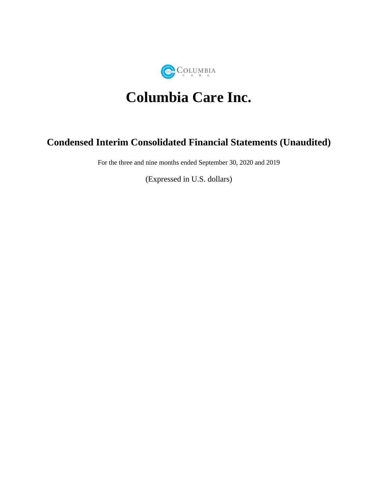

# **Columbia Care Inc.**

# **Condensed Interim Consolidated Financial Statements (Unaudited)**

For the three and nine months ended September 30, 2020 and 2019

(Expressed in U.S. dollars)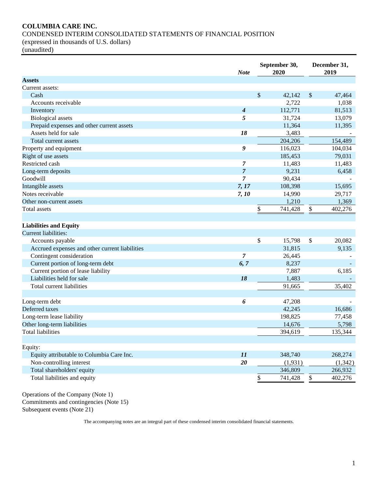# **COLUMBIA CARE INC.**

CONDENSED INTERIM CONSOLIDATED STATEMENTS OF FINANCIAL POSITION

(expressed in thousands of U.S. dollars)

(unaudited)

|                                                | <b>Note</b>      | September 30,<br>2020    |         |               |          |  |  |  | December 31,<br>2019 |
|------------------------------------------------|------------------|--------------------------|---------|---------------|----------|--|--|--|----------------------|
| <b>Assets</b>                                  |                  |                          |         |               |          |  |  |  |                      |
| Current assets:                                |                  |                          |         |               |          |  |  |  |                      |
| Cash                                           |                  | \$                       | 42,142  | $\mathcal{S}$ | 47,464   |  |  |  |                      |
| Accounts receivable                            |                  |                          | 2,722   |               | 1,038    |  |  |  |                      |
| Inventory                                      | 4                |                          | 112,771 |               | 81,513   |  |  |  |                      |
| <b>Biological</b> assets                       | 5                |                          | 31,724  |               | 13,079   |  |  |  |                      |
| Prepaid expenses and other current assets      |                  |                          | 11,364  |               | 11,395   |  |  |  |                      |
| Assets held for sale                           | 18               |                          | 3,483   |               |          |  |  |  |                      |
| Total current assets                           |                  |                          | 204,206 |               | 154,489  |  |  |  |                      |
| Property and equipment                         | 9                |                          | 116,023 |               | 104,034  |  |  |  |                      |
| Right of use assets                            |                  |                          | 185,453 |               | 79,031   |  |  |  |                      |
| Restricted cash                                | $\boldsymbol{7}$ |                          | 11,483  |               | 11,483   |  |  |  |                      |
| Long-term deposits                             | $\overline{7}$   |                          | 9,231   |               | 6,458    |  |  |  |                      |
| Goodwill                                       | 7                |                          | 90,434  |               |          |  |  |  |                      |
| Intangible assets                              | 7, 17            |                          | 108,398 |               | 15,695   |  |  |  |                      |
| Notes receivable                               | 7, 10            |                          | 14,990  |               | 29,717   |  |  |  |                      |
| Other non-current assets                       |                  |                          | 1,210   |               | 1,369    |  |  |  |                      |
| Total assets                                   |                  | \$                       | 741,428 | \$            | 402,276  |  |  |  |                      |
|                                                |                  |                          |         |               |          |  |  |  |                      |
| <b>Liabilities and Equity</b>                  |                  |                          |         |               |          |  |  |  |                      |
| <b>Current liabilities:</b>                    |                  |                          |         |               |          |  |  |  |                      |
| Accounts payable                               |                  | \$                       | 15,798  | \$            | 20,082   |  |  |  |                      |
| Accrued expenses and other current liabilities |                  |                          | 31,815  |               | 9,135    |  |  |  |                      |
| Contingent consideration                       | $\overline{7}$   |                          | 26,445  |               |          |  |  |  |                      |
| Current portion of long-term debt              | 6,7              |                          | 8,237   |               |          |  |  |  |                      |
| Current portion of lease liability             |                  |                          | 7,887   |               | 6,185    |  |  |  |                      |
| Liabilities held for sale                      | 18               |                          | 1,483   |               |          |  |  |  |                      |
| Total current liabilities                      |                  |                          | 91,665  |               | 35,402   |  |  |  |                      |
|                                                |                  |                          |         |               |          |  |  |  |                      |
| Long-term debt                                 | 6                |                          | 47,208  |               |          |  |  |  |                      |
| Deferred taxes                                 |                  |                          | 42,245  |               | 16,686   |  |  |  |                      |
| Long-term lease liability                      |                  |                          | 198,825 |               | 77,458   |  |  |  |                      |
| Other long-term liabilities                    |                  |                          | 14,676  |               | 5,798    |  |  |  |                      |
| <b>Total liabilities</b>                       |                  |                          | 394,619 |               | 135,344  |  |  |  |                      |
|                                                |                  |                          |         |               |          |  |  |  |                      |
| Equity:                                        |                  |                          |         |               |          |  |  |  |                      |
| Equity attributable to Columbia Care Inc.      | 11               |                          | 348,740 |               | 268,274  |  |  |  |                      |
| Non-controlling interest                       | 20               |                          | (1,931) |               | (1, 342) |  |  |  |                      |
| Total shareholders' equity                     |                  |                          | 346,809 |               | 266,932  |  |  |  |                      |
| Total liabilities and equity                   |                  | $\overline{\mathcal{C}}$ | 741,428 | \$            | 402,276  |  |  |  |                      |
|                                                |                  |                          |         |               |          |  |  |  |                      |

Operations of the Company (Note 1) Commitments and contingencies (Note 15) Subsequent events (Note 21)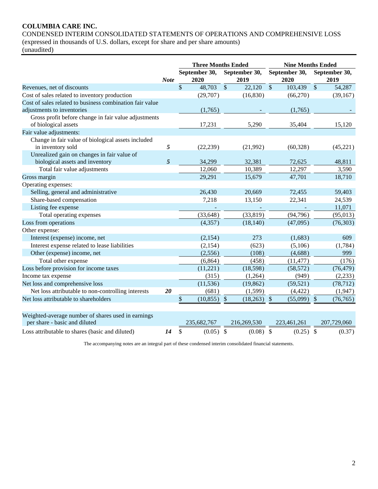# **COLUMBIA CARE INC.**

CONDENSED INTERIM CONSOLIDATED STATEMENTS OF OPERATIONS AND COMPREHENSIVE LOSS (expressed in thousands of U.S. dollars, except for share and per share amounts) (unaudited)

|                                                                                     | <b>Three Months Ended</b> |              |                       |                           | <b>Nine Months Ended</b> |                           |                       |               |                       |
|-------------------------------------------------------------------------------------|---------------------------|--------------|-----------------------|---------------------------|--------------------------|---------------------------|-----------------------|---------------|-----------------------|
|                                                                                     | <b>Note</b>               |              | September 30,<br>2020 |                           | September 30,<br>2019    |                           | September 30,<br>2020 |               | September 30,<br>2019 |
| Revenues, net of discounts                                                          |                           | $\mathbb{S}$ | 48,703                | $\mathcal{S}$             | 22,120                   | $\mathbb{S}$              | 103,439               | $\mathcal{S}$ | 54,287                |
| Cost of sales related to inventory production                                       |                           |              | (29,707)              |                           | (16, 830)                |                           | (66,270)              |               | (39, 167)             |
| Cost of sales related to business combination fair value                            |                           |              |                       |                           |                          |                           |                       |               |                       |
| adjustments to inventories                                                          |                           |              | (1,765)               |                           |                          |                           | (1,765)               |               |                       |
| Gross profit before change in fair value adjustments                                |                           |              |                       |                           |                          |                           |                       |               |                       |
| of biological assets                                                                |                           |              | 17,231                |                           | 5,290                    |                           | 35,404                |               | 15,120                |
| Fair value adjustments:                                                             |                           |              |                       |                           |                          |                           |                       |               |                       |
| Change in fair value of biological assets included                                  |                           |              |                       |                           |                          |                           |                       |               |                       |
| in inventory sold                                                                   | 5                         |              | (22, 239)             |                           | (21,992)                 |                           | (60, 328)             |               | (45, 221)             |
| Unrealized gain on changes in fair value of                                         |                           |              |                       |                           |                          |                           |                       |               |                       |
| biological assets and inventory                                                     | 5                         |              | 34,299                |                           | 32,381                   |                           | 72,625                |               | 48,811                |
| Total fair value adjustments                                                        |                           |              | 12,060                |                           | 10,389                   |                           | 12,297                |               | 3,590                 |
| Gross margin                                                                        |                           |              | 29,291                |                           | 15,679                   |                           | 47,701                |               | 18,710                |
| Operating expenses:                                                                 |                           |              |                       |                           |                          |                           |                       |               |                       |
| Selling, general and administrative                                                 |                           |              | 26,430                |                           | 20,669                   |                           | 72,455                |               | 59,403                |
| Share-based compensation                                                            |                           |              | 7,218                 |                           | 13,150                   |                           | 22,341                |               | 24,539                |
| Listing fee expense                                                                 |                           |              |                       |                           |                          |                           |                       |               | 11,071                |
| Total operating expenses                                                            |                           |              | (33, 648)             |                           | (33, 819)                |                           | (94, 796)             |               | (95, 013)             |
| Loss from operations                                                                |                           |              | (4,357)               |                           | (18, 140)                |                           | (47,095)              |               | (76, 303)             |
| Other expense:                                                                      |                           |              |                       |                           |                          |                           |                       |               |                       |
| Interest (expense) income, net                                                      |                           |              | (2,154)               |                           | 273                      |                           | (1,683)               |               | 609                   |
| Interest expense related to lease liabilities                                       |                           |              | (2,154)               |                           | (623)                    |                           | (5,106)               |               | (1,784)               |
| Other (expense) income, net                                                         |                           |              | (2,556)               |                           | (108)                    |                           | (4,688)               |               | 999                   |
| Total other expense                                                                 |                           |              | (6, 864)              |                           | (458)                    |                           | (11, 477)             |               | (176)                 |
| Loss before provision for income taxes                                              |                           |              | (11,221)              |                           | (18,598)                 |                           | (58, 572)             |               | (76, 479)             |
| Income tax expense                                                                  |                           |              | (315)                 |                           | (1,264)                  |                           | (949)                 |               | (2,233)               |
| Net loss and comprehensive loss                                                     |                           |              | (11, 536)             |                           | (19, 862)                |                           | (59, 521)             |               | (78, 712)             |
| Net loss attributable to non-controlling interests                                  | 20                        |              | (681)                 |                           | (1,599)                  |                           | (4, 422)              |               | (1,947)               |
| Net loss attributable to shareholders                                               |                           | \$           | (10, 855)             | $\boldsymbol{\mathsf{S}}$ | (18,263)                 | $\boldsymbol{\mathsf{S}}$ | (55,099)              | $\sqrt{3}$    | (76, 765)             |
|                                                                                     |                           |              |                       |                           |                          |                           |                       |               |                       |
| Weighted-average number of shares used in earnings<br>per share - basic and diluted |                           |              | 235,682,767           |                           | 216,269,530              |                           | 223,461,261           |               | 207,729,060           |
|                                                                                     |                           |              |                       |                           |                          |                           |                       |               |                       |
| Loss attributable to shares (basic and diluted)                                     | 14                        | \$           | $(0.05)$ \$           |                           | $(0.08)$ \$              |                           | $(0.25)$ \$           |               | (0.37)                |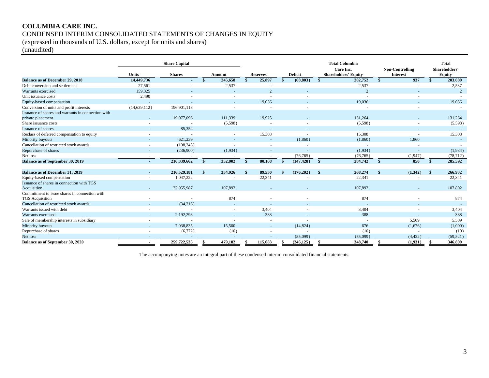# **COLUMBIA CARE INC.** CONDENSED INTERIM CONSOLIDATED STATEMENTS OF CHANGES IN EQUITY

(expressed in thousands of U.S. dollars, except for units and shares)

(unaudited)

|                                                                         |                | <b>Share Capital</b> |     |                          |                 |                          |              | <b>Total Columbia</b><br>Care Inc. | <b>Non-Controlling</b> | <b>Total</b><br>Shareholders' |
|-------------------------------------------------------------------------|----------------|----------------------|-----|--------------------------|-----------------|--------------------------|--------------|------------------------------------|------------------------|-------------------------------|
|                                                                         | <b>Units</b>   | <b>Shares</b>        |     | Amount                   | <b>Reserves</b> | <b>Deficit</b>           |              | <b>Shareholders' Equity</b>        | <b>Interest</b>        | <b>Equity</b>                 |
| <b>Balance as of December 29, 2018</b>                                  | 14,449,736     |                      | -\$ | 245,658                  | 25,897          | (68, 803)                |              | 202,752                            | 937                    | 203,689                       |
| Debt conversion and settlement                                          | 27,561         |                      |     | 2,537                    |                 |                          |              | 2,537                              |                        | 2,537                         |
| Warrants exercised                                                      | 159,325        |                      |     |                          | $\overline{2}$  |                          |              | $\overline{2}$                     |                        | $\overline{2}$                |
| Unit issuance costs                                                     | 2,490          |                      |     | ۰.                       | $\sim$          | н.                       |              |                                    |                        |                               |
| Equity-based compensation                                               |                |                      |     |                          | 19,036          |                          |              | 19,036                             |                        | 19,036                        |
| Conversion of units and profit interests                                | (14, 639, 112) | 196,901.118          |     |                          |                 |                          |              |                                    |                        |                               |
| Issuance of shares and warrants in connection with                      |                |                      |     |                          |                 |                          |              |                                    |                        |                               |
| private placement                                                       |                | 19,077,096           |     | 111,339                  | 19.925          |                          |              | 131,264                            |                        | 131,264                       |
| Share issuance costs                                                    |                |                      |     | (5,598)                  |                 |                          |              | (5,598)                            |                        | (5,598)                       |
| Issuance of shares                                                      |                | 85,354               |     | $\sim$                   |                 |                          |              |                                    |                        |                               |
| Reclass of deferred compensation to equity                              |                |                      |     | $\sim$                   | 15,308          |                          |              | 15,308                             |                        | 15,308                        |
| Minority buyouts                                                        |                | 621,239              |     | $\overline{\phantom{a}}$ | $\sim$          | (1,860)                  |              | (1,860)                            | 1,860                  |                               |
| Cancellation of restricted stock awards                                 |                | (108, 245)           |     | $\sim$                   |                 | $\overline{\phantom{a}}$ |              | $\sim$                             |                        |                               |
| Repurchase of shares                                                    |                | (236,900)            |     | (1,934)                  |                 | $\sim$                   |              | (1,934)                            |                        | (1,934)                       |
| Net loss                                                                |                |                      |     |                          |                 | (76, 765)                |              | (76, 765)                          | (1,947)                | (78, 712)                     |
| Balance as of September 30, 2019                                        |                | 216,339,662          | -SS | 352,002                  | 80.168          | (147, 428)               | $\mathbf{s}$ | 284,742                            | 850                    | 285,592                       |
|                                                                         |                |                      |     |                          |                 |                          |              |                                    |                        |                               |
| <b>Balance as of December 31, 2019</b>                                  |                | 216,529,181          |     | 354,926                  | 89,550          | (176,202)                |              | 268,274                            | (1,342)                | 266,932                       |
| Equity-based compensation                                               |                | 1,047,222            |     |                          | 22,341          |                          |              | 22,341                             |                        | 22,341                        |
| Issuance of shares in connection with TGS                               |                |                      |     |                          |                 |                          |              |                                    |                        |                               |
| Acquisition                                                             |                | 32,955,987           |     | 107.892                  |                 |                          |              | 107.892                            |                        | 107.892                       |
| Commitment to issue shares in connection with<br><b>TGS</b> Acquisition |                |                      |     | 874                      |                 |                          |              | 874                                |                        | 874                           |
| Cancellation of restricted stock awards                                 |                | (34,216)             |     |                          |                 |                          |              |                                    |                        |                               |
| Warrants issued with debt                                               |                |                      |     |                          | 3,404           |                          |              | 3,404                              |                        | 3,404                         |
| Warrants exercised                                                      |                | 2,192,298            |     |                          | 388             |                          |              | 388                                |                        | 388                           |
| Sale of membership interests in subsidiary                              |                |                      |     |                          |                 |                          |              |                                    | 5,509                  | 5,509                         |
| Minority buyouts                                                        |                | 7,038,835            |     | 15.500                   | $\sim$          | (14, 824)                |              | 676                                | (1,676)                | (1,000)                       |
| Repurchase of shares                                                    |                | (6,772)              |     | (10)                     |                 | $\sim$                   |              | (10)                               |                        | (10)                          |
| Net loss                                                                |                |                      |     |                          |                 | (55,099)                 |              | (55,099)                           | (4, 422)               | (59, 521)                     |
| Balance as of September 30, 2020                                        |                | 259,722,535          |     | 479,182                  | 115.683         | (246, 125)               |              | 348,740                            | (1,931)                | 346,809                       |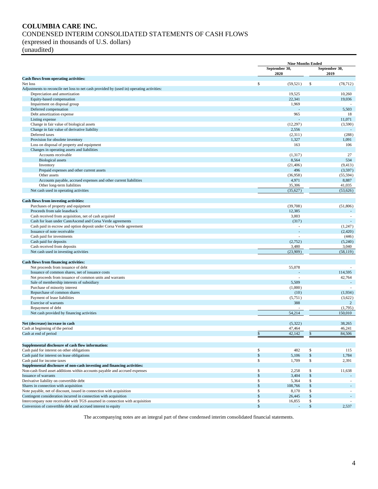#### **COLUMBIA CARE INC.** CONDENSED INTERIM CONSOLIDATED STATEMENTS OF CASH FLOWS (expressed in thousands of U.S. dollars)

(unaudited)

|                                                                                                     |                       | <b>Nine Months Ended</b> |                    |                       |  |
|-----------------------------------------------------------------------------------------------------|-----------------------|--------------------------|--------------------|-----------------------|--|
|                                                                                                     | September 30,<br>2020 |                          |                    | September 30,<br>2019 |  |
| Cash flows from operating activities:                                                               |                       |                          |                    |                       |  |
| Net loss                                                                                            | \$                    | (59, 521)                | \$                 | (78, 712)             |  |
| Adjustments to reconcile net loss to net cash provided by (used in) operating activities:           |                       |                          |                    |                       |  |
| Depreciation and amortization                                                                       |                       | 19,525                   |                    | 10,260                |  |
| Equity-based compensation                                                                           |                       | 22,341                   |                    | 19,036                |  |
| Impairment on disposal group<br>Deferred compensation                                               |                       | 1,969                    |                    | 5,503                 |  |
| Debt amortization expense                                                                           |                       | 965                      |                    | 18                    |  |
| Listing expense                                                                                     |                       |                          |                    | 11,071                |  |
| Change in fair value of biological assets                                                           |                       | (12, 297)                |                    | (3,590)               |  |
| Change in fair value of derivative liability                                                        |                       | 2,556                    |                    |                       |  |
| Deferred taxes                                                                                      |                       | (2,311)                  |                    | (288)                 |  |
| Provision for obsolete inventory                                                                    |                       | 1,327                    |                    | 1,091                 |  |
| Loss on disposal of property and equipment                                                          |                       | 163                      |                    | 106                   |  |
| Changes in operating assets and liabilities                                                         |                       |                          |                    |                       |  |
| Accounts receivable                                                                                 |                       | (1, 317)                 |                    | 27                    |  |
| <b>Biological</b> assets                                                                            |                       | 8,564                    |                    | 534                   |  |
| Inventory                                                                                           |                       | (21, 406)                |                    | (9, 413)              |  |
| Prepaid expenses and other current assets                                                           |                       | 496                      |                    | (3,597)               |  |
| Other assets                                                                                        |                       | (36,958)                 |                    | (55, 594)             |  |
| Accounts payable, accrued expenses and other current liabilities                                    |                       | 4,971                    |                    | 8,887                 |  |
| Other long-term liabilities                                                                         |                       | 35,306                   |                    | 41,035                |  |
| Net cash used in operating activities                                                               |                       | (35, 627)                |                    | (53, 626)             |  |
|                                                                                                     |                       |                          |                    |                       |  |
| Cash flows from investing activities:                                                               |                       |                          |                    |                       |  |
| Purchases of property and equipment                                                                 |                       | (39,708)                 |                    | (51,806)              |  |
| Proceeds from sale leaseback                                                                        |                       | 12,385                   |                    |                       |  |
| Cash received from acquisition, net of cash acquired                                                |                       | 3,003                    |                    |                       |  |
| Cash for loan under CannAscend and Corsa Verde agreements                                           |                       | (317)                    |                    |                       |  |
| Cash paid in escrow and option deposit under Corsa Verde agreement<br>Issuance of note receivable   |                       |                          |                    | (1,247)<br>(2,420)    |  |
| Cash paid for investments                                                                           |                       | J.                       |                    | (446)                 |  |
| Cash paid for deposits                                                                              |                       | (2,752)                  |                    | (5,240)               |  |
| Cash received from deposits                                                                         |                       | 3,480                    |                    | 3,040                 |  |
| Net cash used in investing activities                                                               |                       | (23,909)                 |                    | (58, 119)             |  |
|                                                                                                     |                       |                          |                    |                       |  |
| <b>Cash flows from financing activities:</b>                                                        |                       |                          |                    |                       |  |
| Net proceeds from issuance of debt                                                                  |                       | 55,078                   |                    |                       |  |
| Issuance of common shares, net of issuance costs                                                    |                       |                          |                    | 114,595               |  |
| Net proceeds from issuance of common units and warrants                                             |                       |                          |                    | 42,764                |  |
| Sale of membership interests of subsidiary                                                          |                       | 5,509                    |                    |                       |  |
| Purchase of minority interest                                                                       |                       | (1,000)                  |                    |                       |  |
| Repurchase of common shares                                                                         |                       | (10)                     |                    | (1,934)               |  |
| Payment of lease liabilities                                                                        |                       | (5,751)                  |                    | (3,622)               |  |
| Exercise of warrants                                                                                |                       | 388                      |                    | 2                     |  |
| Repayment of debt                                                                                   |                       |                          |                    | (1,795)               |  |
| Net cash provided by financing activities                                                           |                       | 54,214                   |                    | 150,010               |  |
|                                                                                                     |                       |                          |                    |                       |  |
| Net (decrease) increase in cash                                                                     |                       | (5,322)                  |                    | 38,265                |  |
| Cash at beginning of the period                                                                     |                       | 47,464                   |                    | 46,241                |  |
| Cash at end of period                                                                               | \$                    | 42,142                   | \$                 | 84,506                |  |
|                                                                                                     |                       |                          |                    |                       |  |
| Supplemental disclosure of cash flow information:                                                   |                       |                          |                    |                       |  |
| Cash paid for interest on other obligations                                                         | \$                    | 482                      | \$                 | 115                   |  |
| Cash paid for interest on lease obligations                                                         | $\frac{1}{2}$         | 5,106                    | $\mathbb{S}$       | 1,784                 |  |
| Cash paid for income taxes                                                                          | \$                    | 1,709                    | \$                 | 2,391                 |  |
| Supplemental disclosure of non-cash investing and financing activities:                             | \$                    |                          |                    |                       |  |
| Non-cash fixed asset additions within accounts payable and accrued expenses<br>Issuance of warrants | \$                    | 2,258<br>3,404           | \$<br>$\mathbb{S}$ | 11,638                |  |
| Derivative liability on convertible debt                                                            | \$                    | 5,364                    | \$                 | $\sim$                |  |
| Shares in connection with acquisition                                                               | \$                    | 108,766                  | $\mathbb{S}$       |                       |  |
| Note payable, net of discount, issued in connection with acquisition                                | \$                    | 8,170                    | \$                 |                       |  |
| Contingent consideration incurred in connection with acquisition                                    | \$                    | 26,445                   | \$                 |                       |  |
| Intercompany note receivable with TGS assumed in connection with acquisition                        | \$                    | 16,855                   | \$                 |                       |  |
| Conversion of convertible debt and accrued interest to equity                                       | $\mathbb{S}$          |                          | $\mathbb{S}$       | 2,537                 |  |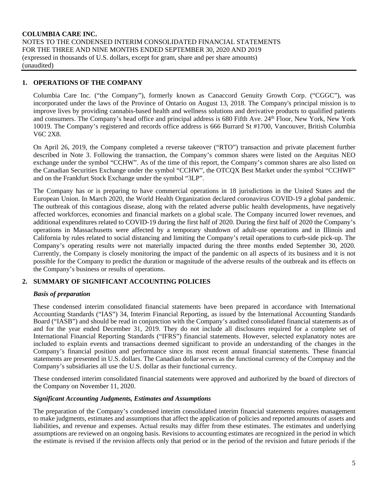# **1. OPERATIONS OF THE COMPANY**

Columbia Care Inc. ("the Company"), formerly known as Canaccord Genuity Growth Corp. ("CGGC"), was incorporated under the laws of the Province of Ontario on August 13, 2018. The Company's principal mission is to improve lives by providing cannabis-based health and wellness solutions and derivative products to qualified patients and consumers. The Company's head office and principal address is 680 Fifth Ave. 24th Floor, New York, New York 10019. The Company's registered and records office address is 666 Burrard St #1700, Vancouver, British Columbia V6C 2X8.

On April 26, 2019, the Company completed a reverse takeover ("RTO") transaction and private placement further described in Note 3. Following the transaction, the Company's common shares were listed on the Aequitas NEO exchange under the symbol "CCHW". As of the time of this report, the Company's common shares are also listed on the Canadian Securities Exchange under the symbol "CCHW", the OTCQX Best Market under the symbol "CCHWF" and on the Frankfurt Stock Exchange under the symbol "3LP".

The Company has or is preparing to have commercial operations in 18 jurisdictions in the United States and the European Union. In March 2020, the World Health Organization declared coronavirus COVID-19 a global pandemic. The outbreak of this contagious disease, along with the related adverse public health developments, have negatively affected workforces, economies and financial markets on a global scale. The Company incurred lower revenues, and additional expenditures related to COVID-19 during the first half of 2020. During the first half of 2020 the Company's operations in Massachusetts were affected by a temporary shutdown of adult-use operations and in Illinois and California by rules related to social distancing and limiting the Company's retail operations to curb-side pick-up. The Company's operating results were not materially impacted during the three months ended September 30, 2020. Currently, the Company is closely monitoring the impact of the pandemic on all aspects of its business and it is not possible for the Company to predict the duration or magnitude of the adverse results of the outbreak and its effects on the Company's business or results of operations.

# **2. SUMMARY OF SIGNIFICANT ACCOUNTING POLICIES**

#### *Basis of preparation*

These condensed interim consolidated financial statements have been prepared in accordance with International Accounting Standards ("IAS") 34, Interim Financial Reporting, as issued by the International Accounting Standards Board ("IASB") and should be read in conjunction with the Company's audited consolidated financial statements as of and for the year ended December 31, 2019. They do not include all disclosures required for a complete set of International Financial Reporting Standards ("IFRS") financial statements. However, selected explanatory notes are included to explain events and transactions deemed significant to provide an understanding of the changes in the Company's financial position and performance since its most recent annual financial statements. These financial statements are presented in U.S. dollars. The Canadian dollar serves as the functional currency of the Compnay and the Company's subsidiaries all use the U.S. dollar as their functional currency.

These condensed interim consolidated financial statements were approved and authorized by the board of directors of the Company on November 11, 2020.

#### *Significant Accounting Judgments, Estimates and Assumptions*

The preparation of the Company's condensed interim consolidated interim financial statements requires management to make judgments, estimates and assumptions that affect the application of policies and reported amounts of assets and liabilities, and revenue and expenses. Actual results may differ from these estimates. The estimates and underlying assumptions are reviewed on an ongoing basis. Revisions to accounting estimates are recognized in the period in which the estimate is revised if the revision affects only that period or in the period of the revision and future periods if the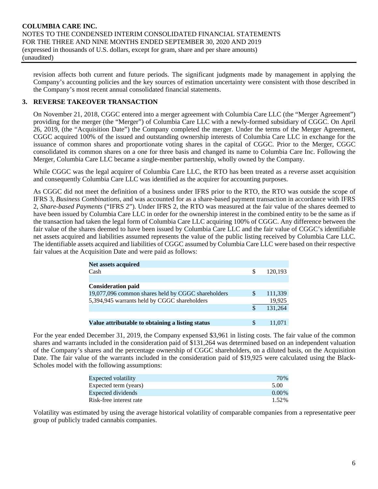revision affects both current and future periods. The significant judgments made by management in applying the Company's accounting policies and the key sources of estimation uncertainty were consistent with those described in the Company's most recent annual consolidated financial statements.

# **3. REVERSE TAKEOVER TRANSACTION**

On November 21, 2018, CGGC entered into a merger agreement with Columbia Care LLC (the "Merger Agreement") providing for the merger (the "Merger") of Columbia Care LLC with a newly-formed subsidiary of CGGC. On April 26, 2019, (the "Acquisition Date") the Company completed the merger. Under the terms of the Merger Agreement, CGGC acquired 100% of the issued and outstanding ownership interests of Columbia Care LLC in exchange for the issuance of common shares and proportionate voting shares in the capital of CGGC. Prior to the Merger, CGGC consolidated its common shares on a one for three basis and changed its name to Columbia Care Inc. Following the Merger, Columbia Care LLC became a single-member partnership, wholly owned by the Company.

While CGGC was the legal acquirer of Columbia Care LLC, the RTO has been treated as a reverse asset acquisition and consequently Columbia Care LLC was identified as the acquirer for accounting purposes.

As CGGC did not meet the definition of a business under IFRS prior to the RTO, the RTO was outside the scope of IFRS 3, *Business Combinations*, and was accounted for as a share-based payment transaction in accordance with IFRS 2, *Share-based Payments* ("IFRS 2"). Under IFRS 2, the RTO was measured at the fair value of the shares deemed to have been issued by Columbia Care LLC in order for the ownership interest in the combined entity to be the same as if the transaction had taken the legal form of Columbia Care LLC acquiring 100% of CGGC. Any difference between the fair value of the shares deemed to have been issued by Columbia Care LLC and the fair value of CGGC's identifiable net assets acquired and liabilities assumed represents the value of the public listing received by Columbia Care LLC. The identifiable assets acquired and liabilities of CGGC assumed by Columbia Care LLC were based on their respective fair values at the Acquisition Date and were paid as follows:

| <b>Net assets acquired</b>                         |     |         |
|----------------------------------------------------|-----|---------|
| Cash                                               | S   | 120.193 |
|                                                    |     |         |
| <b>Consideration paid</b>                          |     |         |
| 19,077,096 common shares held by CGGC shareholders | \$. | 111,339 |
| 5,394,945 warrants held by CGGC shareholders       |     | 19,925  |
|                                                    | \$. | 131,264 |
|                                                    |     |         |
| Value attributable to obtaining a listing status   | \$. | 11.071  |

For the year ended December 31, 2019, the Company expensed \$3,961 in listing costs. The fair value of the common shares and warrants included in the consideration paid of \$131,264 was determined based on an independent valuation of the Company's shares and the percentage ownership of CGGC shareholders, on a diluted basis, on the Acquisition Date. The fair value of the warrants included in the consideration paid of \$19,925 were calculated using the Black-Scholes model with the following assumptions:

| Expected volatility     | 70%      |
|-------------------------|----------|
| Expected term (years)   | 5.00     |
| Expected dividends      | $0.00\%$ |
| Risk-free interest rate | 1.52%    |

Volatility was estimated by using the average historical volatility of comparable companies from a representative peer group of publicly traded cannabis companies.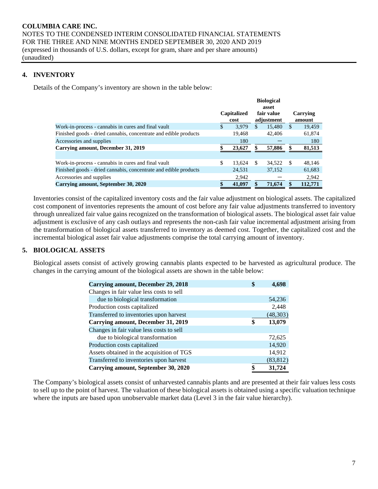# **4. INVENTORY**

Details of the Company's inventory are shown in the table below:

|                                                                  |                     |        |     | <b>Biological</b><br>asset |               |                    |
|------------------------------------------------------------------|---------------------|--------|-----|----------------------------|---------------|--------------------|
|                                                                  | Capitalized<br>cost |        |     | fair value<br>adjustment   |               | Carrying<br>amount |
| Work-in-process - cannabis in cures and final vault              | \$                  | 3.979  | \$. | 15,480                     | <sup>\$</sup> | 19,459             |
| Finished goods - dried cannabis, concentrate and edible products |                     | 19.468 |     | 42,406                     |               | 61,874             |
| Accessories and supplies                                         |                     | 180    |     |                            |               | 180                |
| Carrying amount, December 31, 2019                               |                     | 23,627 |     | 57,886                     | \$            | 81,513             |
|                                                                  |                     |        |     |                            |               |                    |
| Work-in-process - cannabis in cures and final vault              | \$                  | 13.624 | -S  | 34.522                     | - \$          | 48,146             |
| Finished goods - dried cannabis, concentrate and edible products |                     | 24,531 |     | 37,152                     |               | 61,683             |
| Accessories and supplies                                         |                     | 2,942  |     |                            |               | 2,942              |
| Carrying amount, September 30, 2020                              |                     | 41,097 |     | 71,674                     |               | 112,771            |

Inventories consist of the capitalized inventory costs and the fair value adjustment on biological assets. The capitalized cost component of inventories represents the amount of cost before any fair value adjustments transferred to inventory through unrealized fair value gains recognized on the transformation of biological assets. The biological asset fair value adjustment is exclusive of any cash outlays and represents the non-cash fair value incremental adjustment arising from the transformation of biological assets transferred to inventory as deemed cost. Together, the capitalized cost and the incremental biological asset fair value adjustments comprise the total carrying amount of inventory.

# **5. BIOLOGICAL ASSETS**

Biological assets consist of actively growing cannabis plants expected to be harvested as agricultural produce. The changes in the carrying amount of the biological assets are shown in the table below:

| Carrying amount, December 29, 2018        | S  | 4,698     |
|-------------------------------------------|----|-----------|
| Changes in fair value less costs to sell  |    |           |
| due to biological transformation          |    | 54,236    |
| Production costs capitalized              |    | 2,448     |
| Transferred to inventories upon harvest   |    | (48, 303) |
| Carrying amount, December 31, 2019        | \$ | 13,079    |
| Changes in fair value less costs to sell  |    |           |
| due to biological transformation          |    | 72,625    |
| Production costs capitalized              |    | 14,920    |
| Assets obtained in the acquisition of TGS |    | 14,912    |
| Transferred to inventories upon harvest   |    | (83, 812) |
| Carrying amount, September 30, 2020       |    | 31,724    |

The Company's biological assets consist of unharvested cannabis plants and are presented at their fair values less costs to sell up to the point of harvest. The valuation of these biological assets is obtained using a specific valuation technique where the inputs are based upon unobservable market data (Level 3 in the fair value hierarchy).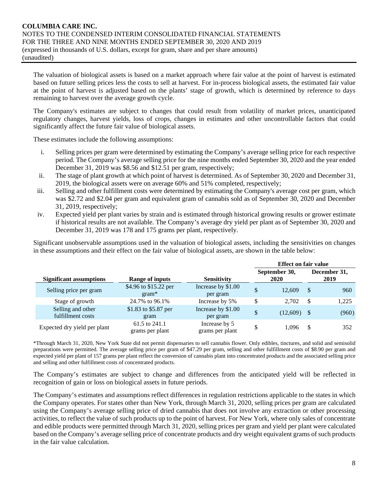The valuation of biological assets is based on a market approach where fair value at the point of harvest is estimated based on future selling prices less the costs to sell at harvest. For in-process biological assets, the estimated fair value at the point of harvest is adjusted based on the plants' stage of growth, which is determined by reference to days remaining to harvest over the average growth cycle.

The Company's estimates are subject to changes that could result from volatility of market prices, unanticipated regulatory changes, harvest yields, loss of crops, changes in estimates and other uncontrollable factors that could significantly affect the future fair value of biological assets.

These estimates include the following assumptions:

- i. Selling prices per gram were determined by estimating the Company's average selling price for each respective period. The Company's average selling price for the nine months ended September 30, 2020 and the year ended December 31, 2019 was \$8.56 and \$12.51 per gram, respectively;
- ii. The stage of plant growth at which point of harvest is determined. As of September 30, 2020 and December 31, 2019, the biological assets were on average 60% and 51% completed, respectively;
- iii. Selling and other fulfillment costs were determined by estimating the Company's average cost per gram, which was \$2.72 and \$2.04 per gram and equivalent gram of cannabis sold as of September 30, 2020 and December 31, 2019, respectively;
- iv. Expected yield per plant varies by strain and is estimated through historical growing results or grower estimate if historical results are not available. The Company's average dry yield per plant as of September 30, 2020 and December 31, 2019 was 178 and 175 grams per plant, respectively.

Significant unobservable assumptions used in the valuation of biological assets, including the sensitivities on changes in these assumptions and their effect on the fair value of biological assets, are shown in the table below:

|                                        |                                  |                                  | <b>Effect on fair value</b> |                       |      |                      |
|----------------------------------------|----------------------------------|----------------------------------|-----------------------------|-----------------------|------|----------------------|
| <b>Significant assumptions</b>         | Range of inputs                  | <b>Sensitivity</b>               |                             | September 30,<br>2020 |      | December 31,<br>2019 |
| Selling price per gram                 | \$4.96 to \$15.22 per<br>$gram*$ | Increase by \$1.00<br>per gram   | \$                          | 12.609                | \$   | 960                  |
| Stage of growth                        | 24.7% to 96.1%                   | Increase by 5%                   | \$                          | 2.702                 | \$   | 1,225                |
| Selling and other<br>fulfillment costs | \$1.83 to \$5.87 per<br>gram     | Increase by \$1.00<br>per gram   | \$                          | (12,609)              | - \$ | (960)                |
| Expected dry yield per plant           | 61.5 to 241.1<br>grams per plant | Increase by 5<br>grams per plant | \$                          | 1.096                 | S.   | 352                  |

\*Through March 31, 2020, New York State did not permit dispensaries to sell cannabis flower. Only edibles, tinctures, and solid and semisolid preparations were permitted. The average selling price per gram of \$47.29 per gram, selling and other fulfillment costs of \$8.90 per gram and expected yield per plant of 157 grams per plant reflect the conversion of cannabis plant into concentrated products and the associated selling price and selling and other fulfillment costs of concentrated products.

The Company's estimates are subject to change and differences from the anticipated yield will be reflected in recognition of gain or loss on biological assets in future periods.

The Company's estimates and assumptions reflect differences in regulation restrictions applicable to the states in which the Company operates. For states other than New York, through March 31, 2020, selling prices per gram are calculated using the Company's average selling price of dried cannabis that does not involve any extraction or other processing activities, to reflect the value of such products up to the point of harvest. For New York, where only sales of concentrate and edible products were permitted through March 31, 2020, selling prices per gram and yield per plant were calculated based on the Company's average selling price of concentrate products and dry weight equivalent grams of such products in the fair value calculation.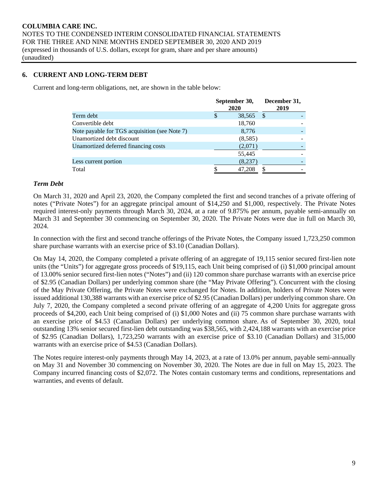# **6. CURRENT AND LONG-TERM DEBT**

Current and long-term obligations, net, are shown in the table below:

|                                               |   | September 30,<br>2020 | December 31,<br>2019 |
|-----------------------------------------------|---|-----------------------|----------------------|
| Term debt                                     | S | 38,565                | S                    |
| Convertible debt                              |   | 18,760                |                      |
| Note payable for TGS acquisition (see Note 7) |   | 8,776                 |                      |
| Unamortized debt discount                     |   | (8,585)               |                      |
| Unamortized deferred financing costs          |   | (2,071)               |                      |
|                                               |   | 55,445                |                      |
| Less current portion                          |   | (8,237)               |                      |
| Total                                         |   | 47,208                |                      |

#### *Term Debt*

On March 31, 2020 and April 23, 2020, the Company completed the first and second tranches of a private offering of notes ("Private Notes") for an aggregate principal amount of \$14,250 and \$1,000, respectively. The Private Notes required interest-only payments through March 30, 2024, at a rate of 9.875% per annum, payable semi-annually on March 31 and September 30 commencing on September 30, 2020. The Private Notes were due in full on March 30, 2024.

In connection with the first and second tranche offerings of the Private Notes, the Company issued 1,723,250 common share purchase warrants with an exercise price of \$3.10 (Canadian Dollars).

On May 14, 2020, the Company completed a private offering of an aggregate of 19,115 senior secured first-lien note units (the "Units") for aggregate gross proceeds of \$19,115, each Unit being comprised of (i) \$1,000 principal amount of 13.00% senior secured first-lien notes ("Notes") and (ii) 120 common share purchase warrants with an exercise price of \$2.95 (Canadian Dollars) per underlying common share (the "May Private Offering"). Concurrent with the closing of the May Private Offering, the Private Notes were exchanged for Notes. In addition, holders of Private Notes were issued additional 130,388 warrants with an exercise price of \$2.95 (Canadian Dollars) per underlying common share. On July 7, 2020, the Company completed a second private offering of an aggregate of 4,200 Units for aggregate gross proceeds of \$4,200, each Unit being comprised of (i) \$1,000 Notes and (ii) 75 common share purchase warrants with an exercise price of \$4.53 (Canadian Dollars) per underlying common share. As of September 30, 2020, total outstanding 13% senior secured first-lien debt outstanding was \$38,565, with 2,424,188 warrants with an exercise price of \$2.95 (Canadian Dollars), 1,723,250 warrants with an exercise price of \$3.10 (Canadian Dollars) and 315,000 warrants with an exercise price of \$4.53 (Canadian Dollars).

The Notes require interest-only payments through May 14, 2023, at a rate of 13.0% per annum, payable semi-annually on May 31 and November 30 commencing on November 30, 2020. The Notes are due in full on May 15, 2023. The Company incurred financing costs of \$2,072. The Notes contain customary terms and conditions, representations and warranties, and events of default.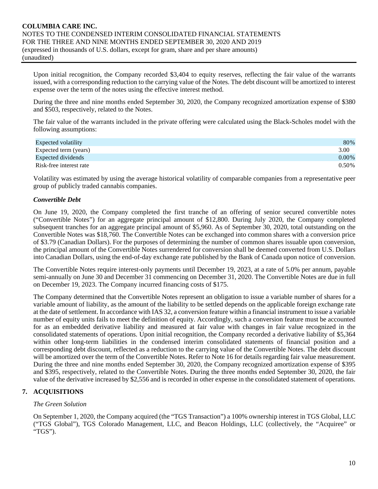Upon initial recognition, the Company recorded \$3,404 to equity reserves, reflecting the fair value of the warrants issued, with a corresponding reduction to the carrying value of the Notes. The debt discount will be amortized to interest expense over the term of the notes using the effective interest method.

During the three and nine months ended September 30, 2020, the Company recognized amortization expense of \$380 and \$503, respectively, related to the Notes.

The fair value of the warrants included in the private offering were calculated using the Black-Scholes model with the following assumptions:

| Expected volatility     | 80%      |
|-------------------------|----------|
| Expected term (years)   | 3.00     |
| Expected dividends      | $0.00\%$ |
| Risk-free interest rate | 0.50%    |

Volatility was estimated by using the average historical volatility of comparable companies from a representative peer group of publicly traded cannabis companies.

#### *Convertible Debt*

On June 19, 2020, the Company completed the first tranche of an offering of senior secured convertible notes ("Convertible Notes") for an aggregate principal amount of \$12,800. During July 2020, the Company completed subsequent tranches for an aggregate principal amount of \$5,960. As of September 30, 2020, total outstanding on the Convertible Notes was \$18,760. The Convertible Notes can be exchanged into common shares with a conversion price of \$3.79 (Canadian Dollars). For the purposes of determining the number of common shares issuable upon conversion, the principal amount of the Convertible Notes surrendered for conversion shall be deemed converted from U.S. Dollars into Canadian Dollars, using the end-of-day exchange rate published by the Bank of Canada upon notice of conversion.

The Convertible Notes require interest-only payments until December 19, 2023, at a rate of 5.0% per annum, payable semi-annually on June 30 and December 31 commencing on December 31, 2020. The Convertible Notes are due in full on December 19, 2023. The Company incurred financing costs of \$175.

The Company determined that the Convertible Notes represent an obligation to issue a variable number of shares for a variable amount of liability, as the amount of the liability to be settled depends on the applicable foreign exchange rate at the date of settlement. In accordance with IAS 32, a conversion feature within a financial instrument to issue a variable number of equity units fails to meet the definition of equity. Accordingly, such a conversion feature must be accounted for as an embedded derivative liability and measured at fair value with changes in fair value recognized in the consolidated statements of operations. Upon initial recognition, the Company recorded a derivative liability of \$5,364 within other long-term liabilities in the condensed interim consolidated statements of financial position and a corresponding debt discount, reflected as a reduction to the carrying value of the Convertible Notes. The debt discount will be amortized over the term of the Convertible Notes. Refer to Note 16 for details regarding fair value measurement. During the three and nine months ended September 30, 2020, the Company recognized amortization expense of \$395 and \$395, respectively, related to the Convertible Notes. During the three months ended September 30, 2020, the fair value of the derivative increased by \$2,556 and is recorded in other expense in the consolidated statement of operations.

# **7. ACQUISITIONS**

# *The Green Solution*

On September 1, 2020, the Company acquired (the "TGS Transaction") a 100% ownership interest in TGS Global, LLC ("TGS Global"), TGS Colorado Management, LLC, and Beacon Holdings, LLC (collectively, the "Acquiree" or "TGS").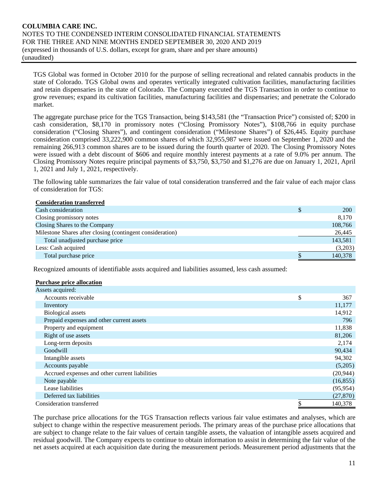TGS Global was formed in October 2010 for the purpose of selling recreational and related cannabis products in the state of Colorado. TGS Global owns and operates vertically integrated cultivation facilities, manufacturing facilities and retain dispensaries in the state of Colorado. The Company executed the TGS Transaction in order to continue to grow revenues; expand its cultivation facilities, manufacturing facilities and dispensaries; and penetrate the Colorado market.

The aggregate purchase price for the TGS Transaction, being \$143,581 (the "Transaction Price") consisted of; \$200 in cash consideration, \$8,170 in promissory notes ("Closing Promissory Notes"), \$108,766 in equity purchase consideration ("Closing Shares"), and contingent consideration ("Milestone Shares") of \$26,445. Equity purchase consideration comprised 33,222,900 common shares of which 32,955,987 were issued on September 1, 2020 and the remaining 266,913 common shares are to be issued during the fourth quarter of 2020. The Closing Promissory Notes were issued with a debt discount of \$606 and require monthly interest payments at a rate of 9.0% per annum. The Closing Promissory Notes require principal payments of \$3,750, \$3,750 and \$1,276 are due on January 1, 2021, April 1, 2021 and July 1, 2021, respectively.

The following table summarizes the fair value of total consideration transferred and the fair value of each major class of consideration for TGS:

| <b>Consideration transferred</b>                          |            |
|-----------------------------------------------------------|------------|
| Cash consideration                                        | <b>200</b> |
| Closing promissory notes                                  | 8,170      |
| Closing Shares to the Company                             | 108,766    |
| Milestone Shares after closing (contingent consideration) | 26,445     |
| Total unadjusted purchase price                           | 143,581    |
| Less: Cash acquired                                       | (3,203)    |
| Total purchase price                                      | 140,378    |

Recognized amounts of identifiable assts acquired and liabilities assumed, less cash assumed:

#### **Purchase price allocation**

| Assets acquired:                               |           |
|------------------------------------------------|-----------|
| Accounts receivable                            | \$<br>367 |
| Inventory                                      | 11,177    |
| <b>Biological</b> assets                       | 14,912    |
| Prepaid expenses and other current assets      | 796       |
| Property and equipment                         | 11,838    |
| Right of use assets                            | 81,206    |
| Long-term deposits                             | 2,174     |
| Goodwill                                       | 90,434    |
| Intangible assets                              | 94,302    |
| Accounts payable                               | (5,205)   |
| Accrued expenses and other current liabilities | (20, 944) |
| Note payable                                   | (16, 855) |
| Lease liabilities                              | (95, 954) |
| Deferred tax liabilities                       | (27, 870) |
| Consideration transferred                      | 140,378   |

The purchase price allocations for the TGS Transaction reflects various fair value estimates and analyses, which are subject to change within the respective measurement periods. The primary areas of the purchase price allocations that are subject to change relate to the fair values of certain tangible assets, the valuation of intangible assets acquired and residual goodwill. The Company expects to continue to obtain information to assist in determining the fair value of the net assets acquired at each acquisition date during the measurement periods. Measurement period adjustments that the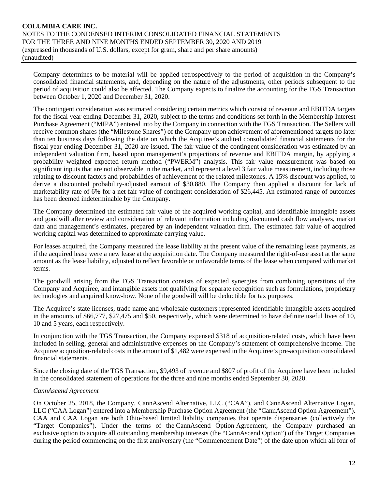Company determines to be material will be applied retrospectively to the period of acquisition in the Company's consolidated financial statements, and, depending on the nature of the adjustments, other periods subsequent to the period of acquisition could also be affected. The Company expects to finalize the accounting for the TGS Transaction between October 1, 2020 and December 31, 2020.

The contingent consideration was estimated considering certain metrics which consist of revenue and EBITDA targets for the fiscal year ending December 31, 2020, subject to the terms and conditions set forth in the Membership Interest Purchase Agreement ("MIPA") entered into by the Company in connection with the TGS Transaction. The Sellers will receive common shares (the "Milestone Shares") of the Company upon achievement of aforementioned targets no later than ten business days following the date on which the Acquiree's audited consolidated financial statements for the fiscal year ending December 31, 2020 are issued. The fair value of the contingent consideration was estimated by an independent valuation firm, based upon management's projections of revenue and EBITDA margin, by applying a probability weighted expected return method ("PWERM") analysis. This fair value measurement was based on significant inputs that are not observable in the market, and represent a level 3 fair value measurement, including those relating to discount factors and probabilities of achievement of the related milestones. A 15% discount was applied, to derive a discounted probability-adjusted earnout of \$30,880. The Company then applied a discount for lack of marketability rate of 6% for a net fair value of contingent consideration of \$26,445. An estimated range of outcomes has been deemed indeterminable by the Company.

The Company determined the estimated fair value of the acquired working capital, and identifiable intangible assets and goodwill after review and consideration of relevant information including discounted cash flow analyses, market data and management's estimates, prepared by an independent valuation firm. The estimated fair value of acquired working capital was determined to approximate carrying value.

For leases acquired, the Company measured the lease liability at the present value of the remaining lease payments, as if the acquired lease were a new lease at the acquisition date. The Company measured the right-of-use asset at the same amount as the lease liability, adjusted to reflect favorable or unfavorable terms of the lease when compared with market terms.

The goodwill arising from the TGS Transaction consists of expected synergies from combining operations of the Company and Acquiree, and intangible assets not qualifying for separate recognition such as formulations, proprietary technologies and acquired know-how. None of the goodwill will be deductible for tax purposes.

The Acquiree's state licenses, trade name and wholesale customers represented identifiable intangible assets acquired in the amounts of \$66,777, \$27,475 and \$50, respectively, which were determined to have definite useful lives of 10, 10 and 5 years, each respectively.

In conjunction with the TGS Transaction, the Company expensed \$318 of acquisition-related costs, which have been included in selling, general and administrative expenses on the Company's statement of comprehensive income. The Acquiree acquisition-related costs in the amount of \$1,482 were expensed in the Acquiree's pre-acquisition consolidated financial statements.

Since the closing date of the TGS Transaction, \$9,493 of revenue and \$807 of profit of the Acquiree have been included in the consolidated statement of operations for the three and nine months ended September 30, 2020.

# *CannAscend Agreement*

On October 25, 2018, the Company, CannAscend Alternative, LLC ("CAA"), and CannAscend Alternative Logan, LLC ("CAA Logan") entered into a Membership Purchase Option Agreement (the "CannAscend Option Agreement"). CAA and CAA Logan are both Ohio-based limited liability companies that operate dispensaries (collectively the "Target Companies"). Under the terms of the CannAscend Option Agreement, the Company purchased an exclusive option to acquire all outstanding membership interests (the "CannAscend Option") of the Target Companies during the period commencing on the first anniversary (the "Commencement Date") of the date upon which all four of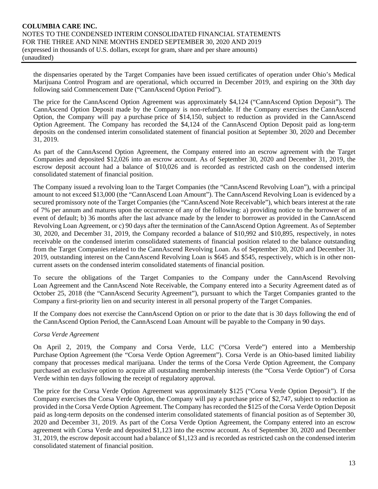the dispensaries operated by the Target Companies have been issued certificates of operation under Ohio's Medical Marijuana Control Program and are operational, which occurred in December 2019, and expiring on the 30th day following said Commencement Date ("CannAscend Option Period").

The price for the CannAscend Option Agreement was approximately \$4,124 ("CannAscend Option Deposit"). The CannAscend Option Deposit made by the Company is non-refundable. If the Company exercises the CannAscend Option, the Company will pay a purchase price of \$14,150, subject to reduction as provided in the CannAscend Option Agreement. The Company has recorded the \$4,124 of the CannAscend Option Deposit paid as long-term deposits on the condensed interim consolidated statement of financial position at September 30, 2020 and December 31, 2019.

As part of the CannAscend Option Agreement, the Company entered into an escrow agreement with the Target Companies and deposited \$12,026 into an escrow account. As of September 30, 2020 and December 31, 2019, the escrow deposit account had a balance of \$10,026 and is recorded as restricted cash on the condensed interim consolidated statement of financial position.

The Company issued a revolving loan to the Target Companies (the "CannAscend Revolving Loan"), with a principal amount to not exceed \$13,000 (the "CannAscend Loan Amount"). The CannAscend Revolving Loan is evidenced by a secured promissory note of the Target Companies (the "CannAscend Note Receivable"), which bears interest at the rate of 7% per annum and matures upon the occurrence of any of the following: a) providing notice to the borrower of an event of default; b) 36 months after the last advance made by the lender to borrower as provided in the CannAscend Revolving Loan Agreement, or c) 90 days after the termination of the CannAscend Option Agreement. As of September 30, 2020, and December 31, 2019, the Company recorded a balance of \$10,992 and \$10,895, respectively, in notes receivable on the condensed interim consolidated statements of financial position related to the balance outstanding from the Target Companies related to the CannAscend Revolving Loan. As of September 30, 2020 and December 31, 2019, outstanding interest on the CannAscend Revolving Loan is \$645 and \$545, respectively, which is in other noncurrent assets on the condensed interim consolidated statements of financial position.

To secure the obligations of the Target Companies to the Company under the CannAscend Revolving Loan Agreement and the CannAscend Note Receivable, the Company entered into a Security Agreement dated as of October 25, 2018 (the "CannAscend Security Agreement"), pursuant to which the Target Companies granted to the Company a first-priority lien on and security interest in all personal property of the Target Companies.

If the Company does not exercise the CannAscend Option on or prior to the date that is 30 days following the end of the CannAscend Option Period, the CannAscend Loan Amount will be payable to the Company in 90 days.

#### *Corsa Verde Agreement*

On April 2, 2019, the Company and Corsa Verde, LLC ("Corsa Verde") entered into a Membership Purchase Option Agreement (the "Corsa Verde Option Agreement"). Corsa Verde is an Ohio-based limited liability company that processes medical marijuana. Under the terms of the Corsa Verde Option Agreement, the Company purchased an exclusive option to acquire all outstanding membership interests (the "Corsa Verde Option") of Corsa Verde within ten days following the receipt of regulatory approval.

The price for the Corsa Verde Option Agreement was approximately \$125 ("Corsa Verde Option Deposit"). If the Company exercises the Corsa Verde Option, the Company will pay a purchase price of \$2,747, subject to reduction as provided in the Corsa Verde Option Agreement. The Company has recorded the \$125 of the Corsa Verde Option Deposit paid as long-term deposits on the condensed interim consolidated statements of financial position as of September 30, 2020 and December 31, 2019. As part of the Corsa Verde Option Agreement, the Company entered into an escrow agreement with Corsa Verde and deposited \$1,123 into the escrow account. As of September 30, 2020 and December 31, 2019, the escrow deposit account had a balance of \$1,123 and is recorded as restricted cash on the condensed interim consolidated statement of financial position.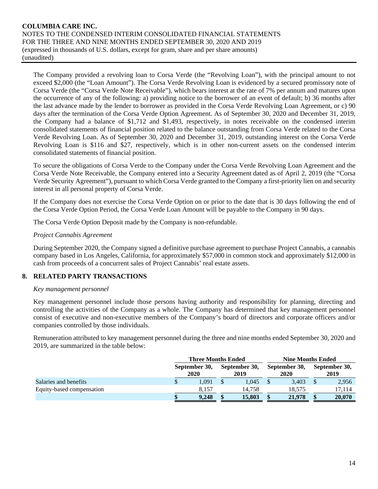The Company provided a revolving loan to Corsa Verde (the "Revolving Loan"), with the principal amount to not exceed \$2,000 (the "Loan Amount"). The Corsa Verde Revolving Loan is evidenced by a secured promissory note of Corsa Verde (the "Corsa Verde Note Receivable"), which bears interest at the rate of 7% per annum and matures upon the occurrence of any of the following: a) providing notice to the borrower of an event of default; b) 36 months after the last advance made by the lender to borrower as provided in the Corsa Verde Revolving Loan Agreement, or c) 90 days after the termination of the Corsa Verde Option Agreement. As of September 30, 2020 and December 31, 2019, the Company had a balance of \$1,712 and \$1,493, respectively, in notes receivable on the condensed interim consolidated statements of financial position related to the balance outstanding from Corsa Verde related to the Corsa Verde Revolving Loan. As of September 30, 2020 and December 31, 2019, outstanding interest on the Corsa Verde Revolving Loan is \$116 and \$27, respectively, which is in other non-current assets on the condensed interim consolidated statements of financial position.

To secure the obligations of Corsa Verde to the Company under the Corsa Verde Revolving Loan Agreement and the Corsa Verde Note Receivable, the Company entered into a Security Agreement dated as of April 2, 2019 (the "Corsa Verde Security Agreement"), pursuant to which Corsa Verde granted to the Company a first-priority lien on and security interest in all personal property of Corsa Verde.

If the Company does not exercise the Corsa Verde Option on or prior to the date that is 30 days following the end of the Corsa Verde Option Period, the Corsa Verde Loan Amount will be payable to the Company in 90 days.

The Corsa Verde Option Deposit made by the Company is non-refundable.

#### *Project Cannabis Agreement*

During September 2020, the Company signed a definitive purchase agreement to purchase Project Cannabis, a cannabis company based in Los Angeles, California, for approximately \$57,000 in common stock and approximately \$12,000 in cash from proceeds of a concurrent sales of Project Cannabis' real estate assets.

# **8. RELATED PARTY TRANSACTIONS**

#### *Key management personnel*

Key management personnel include those persons having authority and responsibility for planning, directing and controlling the activities of the Company as a whole. The Company has determined that key management personnel consist of executive and non-executive members of the Company's board of directors and corporate officers and/or companies controlled by those individuals.

Remuneration attributed to key management personnel during the three and nine months ended September 30, 2020 and 2019, are summarized in the table below:

|                           | <b>Three Months Ended</b> |  |                       | <b>Nine Months Ended</b> |                       |  |                       |  |  |
|---------------------------|---------------------------|--|-----------------------|--------------------------|-----------------------|--|-----------------------|--|--|
|                           | September 30,<br>2020     |  | September 30,<br>2019 |                          | September 30,<br>2020 |  | September 30,<br>2019 |  |  |
| Salaries and benefits     | 1.091                     |  | 1.045                 |                          | 3.403                 |  | 2,956                 |  |  |
| Equity-based compensation | 8.157                     |  | 14.758                |                          | 18.575                |  | 17.114                |  |  |
|                           | 9.248                     |  | 15,803                |                          | 21,978                |  | 20,070                |  |  |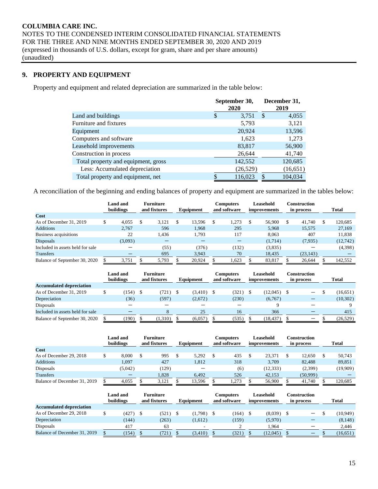# **9. PROPERTY AND EQUIPMENT**

Property and equipment and related depreciation are summarized in the table below:

|                                     | September 30,<br>2020 |   | December 31,<br>2019 |
|-------------------------------------|-----------------------|---|----------------------|
| Land and buildings                  | \$<br>3,751           | S | 4,055                |
| Furniture and fixtures              | 5,793                 |   | 3,121                |
| Equipment                           | 20,924                |   | 13,596               |
| Computers and software              | 1,623                 |   | 1,273                |
| Leasehold improvements              | 83,817                |   | 56,900               |
| Construction in process             | 26,644                |   | 41,740               |
| Total property and equipment, gross | 142,552               |   | 120,685              |
| Less: Accumulated depreciation      | (26,529)              |   | (16, 651)            |
| Total property and equipment, net   | 116,023               |   | 104,034              |

A reconciliation of the beginning and ending balances of property and equipment are summarized in the tables below:

|                                  | <b>Land and</b><br>buildings | <b>Furniture</b><br>and fixtures |  | Equipment | Computers<br>and software |       | Leasehold<br><i>improvements</i> |         | <b>Construction</b><br>in process | <b>Total</b> |
|----------------------------------|------------------------------|----------------------------------|--|-----------|---------------------------|-------|----------------------------------|---------|-----------------------------------|--------------|
| Cost                             |                              |                                  |  |           |                           |       |                                  |         |                                   |              |
| As of December 31, 2019          | \$<br>4.055                  | 3.121                            |  | 13.596    | S                         | 1.273 |                                  | 56,900  | 41.740                            | 120.685      |
| <b>Additions</b>                 | 2.767                        | 596                              |  | 1,968     |                           | 295   |                                  | 5,968   | 15.575                            | 27,169       |
| Business acquisitions            | 22                           | 1,436                            |  | 1,793     |                           | 117   |                                  | 8,063   | 407                               | 11,838       |
| <b>Disposals</b>                 | (3,093)                      |                                  |  |           |                           |       |                                  | (1,714) | (7,935)                           | (12,742)     |
| Included in assets held for sale |                              | (55)                             |  | (376)     |                           | (132) |                                  | (3,835) |                                   | (4,398)      |
| <b>Transfers</b>                 |                              | 695                              |  | 3.943     |                           | 70    |                                  | 18.435  | (23, 143)                         |              |
| Balance of September 30, 2020    | 3,751                        | 5,793                            |  | 20,924    |                           | 1,623 |                                  | 83,817  | 26,644                            | 142,552      |

|                                  | <b>Land and</b><br>buildings |         | <b>Furniture</b><br>and fixtures |  | Equipment |  | Computers<br>and software |  | <b>Leasehold</b><br><i>improvements</i> | Construction<br>in process |                                | <b>Total</b> |
|----------------------------------|------------------------------|---------|----------------------------------|--|-----------|--|---------------------------|--|-----------------------------------------|----------------------------|--------------------------------|--------------|
| <b>Accumulated depreciation</b>  |                              |         |                                  |  |           |  |                           |  |                                         |                            |                                |              |
| As of December 31, 2019          | (154)                        | - \$    | (721)                            |  | (3,410)   |  | (321)                     |  | (12,045)                                |                            | $\qquad \qquad \longleftarrow$ | (16, 651)    |
| Depreciation                     | (36)                         |         | (597)                            |  | (2,672)   |  | (230)                     |  | (6,767)                                 |                            |                                | (10, 302)    |
| Disposals                        |                              |         |                                  |  |           |  |                           |  |                                         |                            |                                |              |
| Included in assets held for sale |                              |         |                                  |  | 25        |  | 16                        |  | 366                                     |                            |                                | 415          |
| Balance of September 30, 2020    | 190)                         | (1,310) |                                  |  | (6.057)   |  | (535)                     |  | (18, 437)                               |                            |                                | (26, 529)    |

|                              | Land and<br>buildings | <b>Furniture</b><br>and fixtures |       | Equipment |        | Computers<br>and software |       | Leasehold<br>improvements |           | Construction<br>in process |          | <b>Total</b> |
|------------------------------|-----------------------|----------------------------------|-------|-----------|--------|---------------------------|-------|---------------------------|-----------|----------------------------|----------|--------------|
| Cost                         |                       |                                  |       |           |        |                           |       |                           |           |                            |          |              |
| As of December 29, 2018      | 8,000                 |                                  | 995   |           | 5.292  |                           | 435   |                           | 23.371    |                            | 12.650   | 50.743       |
| <b>Additions</b>             | 1,097                 |                                  | 427   |           | 1,812  |                           | 318   |                           | 3,709     |                            | 82,488   | 89,851       |
| Disposals                    | (5,042)               |                                  | (129) |           |        |                           | (6)   |                           | (12, 333) |                            | (2,399)  | (19,909)     |
| <b>Transfers</b>             |                       |                                  | 1.828 |           | 6.492  |                           | 526   |                           | 42,153    |                            | (50,999) |              |
| Balance of December 31, 2019 | 4,055                 |                                  | 3,121 |           | 13,596 |                           | 1,273 |                           | 56,900    |                            | 41,740   | 120.685      |

|                                 | <b>Land and</b><br>buildings |       | <b>Furniture</b><br>and fixtures | Equipment | Computers<br>and software | Leasehold<br>improvements | Construction<br>in process | <b>Total</b> |
|---------------------------------|------------------------------|-------|----------------------------------|-----------|---------------------------|---------------------------|----------------------------|--------------|
| <b>Accumulated depreciation</b> |                              |       |                                  |           |                           |                           |                            |              |
| As of December 29, 2018         |                              | (427) | (521)                            | (1,798)   | (164)                     | $(8,039)$ \$              |                            | (10, 949)    |
| Depreciation                    |                              | (144) | (263)                            | (1,612)   | (159)                     | (5,970)                   |                            | (8, 148)     |
| Disposals                       |                              | 417   | 63                               | -         |                           | 1,964                     |                            | 2,446        |
| Balance of December 31, 2019    |                              | 154)  | 721                              | (3, 410)  | (321)                     | (12, 045)                 |                            | (16, 651)    |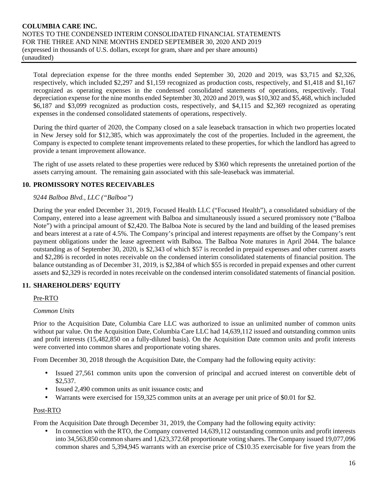Total depreciation expense for the three months ended September 30, 2020 and 2019, was \$3,715 and \$2,326, respectively, which included \$2,297 and \$1,159 recognized as production costs, respectively, and \$1,418 and \$1,167 recognized as operating expenses in the condensed consolidated statements of operations, respectively. Total depreciation expense for the nine months ended September 30, 2020 and 2019, was \$10,302 and \$5,468, which included \$6,187 and \$3,099 recognized as production costs, respectively, and \$4,115 and \$2,369 recognized as operating expenses in the condensed consolidated statements of operations, respectively.

During the third quarter of 2020, the Company closed on a sale leaseback transaction in which two properties located in New Jersey sold for \$12,385, which was approximately the cost of the properties. Included in the agreement, the Company is expected to complete tenant improvements related to these properties, for which the landlord has agreed to provide a tenant improvement allowance.

The right of use assets related to these properties were reduced by \$360 which represents the unretained portion of the assets carrying amount. The remaining gain associated with this sale-leaseback was immaterial.

# **10. PROMISSORY NOTES RECEIVABLES**

#### *9244 Balboa Blvd., LLC ("Balboa")*

During the year ended December 31, 2019, Focused Health LLC ("Focused Health"), a consolidated subsidiary of the Company, entered into a lease agreement with Balboa and simultaneously issued a secured promissory note ("Balboa Note") with a principal amount of \$2,420. The Balboa Note is secured by the land and building of the leased premises and bears interest at a rate of 4.5%. The Company's principal and interest repayments are offset by the Company's rent payment obligations under the lease agreement with Balboa. The Balboa Note matures in April 2044. The balance outstanding as of September 30, 2020, is \$2,343 of which \$57 is recorded in prepaid expenses and other current assets and \$2,286 is recorded in notes receivable on the condensed interim consolidated statements of financial position. The balance outstanding as of December 31, 2019, is \$2,384 of which \$55 is recorded in prepaid expenses and other current assets and \$2,329 is recorded in notes receivable on the condensed interim consolidated statements of financial position.

# **11. SHAREHOLDERS' EQUITY**

#### Pre-RTO

#### *Common Units*

Prior to the Acquisition Date, Columbia Care LLC was authorized to issue an unlimited number of common units without par value. On the Acquisition Date, Columbia Care LLC had  $14,639,112$  issued and outstanding common units and profit interests (15,482,850 on a fully-diluted basis). On the Acquisition Date common units and profit interests were converted into common shares and proportionate voting shares.

From December 30, 2018 through the Acquisition Date, the Company had the following equity activity:

- Issued 27,561 common units upon the conversion of principal and accrued interest on convertible debt of \$2,537.
- Issued 2,490 common units as unit issuance costs; and
- Warrants were exercised for 159,325 common units at an average per unit price of \$0.01 for \$2.

#### Post-RTO

From the Acquisition Date through December 31, 2019, the Company had the following equity activity:

In connection with the RTO, the Company converted 14,639,112 outstanding common units and profit interests into 34,563,850 common shares and 1,623,372.68 proportionate voting shares. The Company issued 19,077,096 common shares and 5,394,945 warrants with an exercise price of C\$10.35 exercisable for five years from the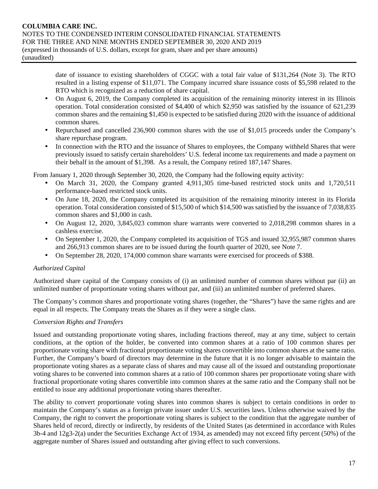date of issuance to existing shareholders of CGGC with a total fair value of \$131,264 (Note 3). The RTO resulted in a listing expense of \$11,071. The Company incurred share issuance costs of \$5,598 related to the RTO which is recognized as a reduction of share capital.

- On August 6, 2019, the Company completed its acquisition of the remaining minority interest in its Illinois operation. Total consideration consisted of \$4,400 of which \$2,950 was satisfied by the issuance of 621,239 common shares and the remaining \$1,450 is expected to be satisfied during 2020 with the issuance of additional common shares.
- Repurchased and cancelled 236,900 common shares with the use of \$1,015 proceeds under the Company's share repurchase program.
- In connection with the RTO and the issuance of Shares to employees, the Company withheld Shares that were previously issued to satisfy certain shareholders' U.S. federal income tax requirements and made a payment on their behalf in the amount of \$1,398. As a result, the Company retired 187,147 Shares.

From January 1, 2020 through September 30, 2020, the Company had the following equity activity:

- On March 31, 2020, the Company granted 4,911,305 time-based restricted stock units and 1,720,511 performance-based restricted stock units.
- On June 18, 2020, the Company completed its acquisition of the remaining minority interest in its Florida operation. Total consideration consisted of \$15,500 of which \$14,500 was satisfied by the issuance of 7,038,835 common shares and \$1,000 in cash.
- On August 12, 2020, 3,845,023 common share warrants were converted to 2,018,298 common shares in a cashless exercise.
- On September 1, 2020, the Company completed its acquisition of TGS and issued 32,955,987 common shares and 266,913 common shares are to be issued during the fourth quarter of 2020, see Note 7.
- On September 28, 2020, 174,000 common share warrants were exercised for proceeds of \$388.

# *Authorized Capital*

Authorized share capital of the Company consists of (i) an unlimited number of common shares without par (ii) an unlimited number of proportionate voting shares without par, and (iii) an unlimited number of preferred shares.

The Company's common shares and proportionate voting shares (together, the "Shares") have the same rights and are equal in all respects. The Company treats the Shares as if they were a single class.

#### *Conversion Rights and Transfers*

Issued and outstanding proportionate voting shares, including fractions thereof, may at any time, subject to certain conditions, at the option of the holder, be converted into common shares at a ratio of 100 common shares per proportionate voting share with fractional proportionate voting shares convertible into common shares at the same ratio. Further, the Company's board of directors may determine in the future that it is no longer advisable to maintain the proportionate voting shares as a separate class of shares and may cause all of the issued and outstanding proportionate voting shares to be converted into common shares at a ratio of 100 common shares per proportionate voting share with fractional proportionate voting shares convertible into common shares at the same ratio and the Company shall not be entitled to issue any additional proportionate voting shares thereafter.

The ability to convert proportionate voting shares into common shares is subject to certain conditions in order to maintain the Company's status as a foreign private issuer under U.S. securities laws. Unless otherwise waived by the Company, the right to convert the proportionate voting shares is subject to the condition that the aggregate number of Shares held of record, directly or indirectly, by residents of the United States (as determined in accordance with Rules 3b-4 and 12g3-2(a) under the Securities Exchange Act of 1934, as amended) may not exceed fifty percent (50%) of the aggregate number of Shares issued and outstanding after giving effect to such conversions.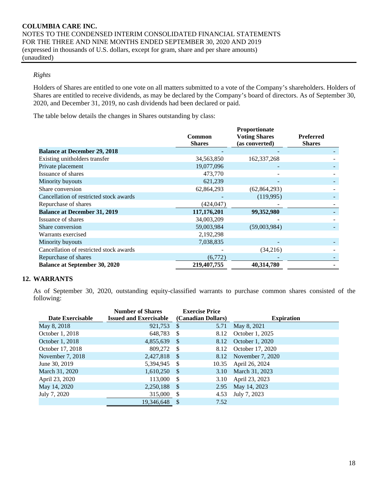#### *Rights*

Holders of Shares are entitled to one vote on all matters submitted to a vote of the Company's shareholders. Holders of Shares are entitled to receive dividends, as may be declared by the Company's board of directors. As of September 30, 2020, and December 31, 2019, no cash dividends had been declared or paid.

The table below details the changes in Shares outstanding by class:

|                                         | Common        | Proportionate<br><b>Voting Shares</b> | <b>Preferred</b> |
|-----------------------------------------|---------------|---------------------------------------|------------------|
|                                         | <b>Shares</b> | (as converted)                        | <b>Shares</b>    |
| <b>Balance at December 29, 2018</b>     |               |                                       |                  |
| Existing unitholders transfer           | 34,563,850    | 162, 337, 268                         |                  |
| Private placement                       | 19,077,096    |                                       |                  |
| Issuance of shares                      | 473,770       |                                       |                  |
| Minority buyouts                        | 621,239       |                                       |                  |
| Share conversion                        | 62,864,293    | (62, 864, 293)                        |                  |
| Cancellation of restricted stock awards |               | (119,995)                             |                  |
| Repurchase of shares                    | (424, 047)    |                                       |                  |
| <b>Balance at December 31, 2019</b>     | 117,176,201   | 99,352,980                            |                  |
| Issuance of shares                      | 34,003,209    |                                       |                  |
| Share conversion                        | 59,003,984    | (59,003,984)                          |                  |
| Warrants exercised                      | 2,192,298     |                                       |                  |
| Minority buyouts                        | 7,038,835     |                                       |                  |
| Cancellation of restricted stock awards |               | (34,216)                              |                  |
| Repurchase of shares                    | (6,772)       |                                       |                  |
| <b>Balance at September 30, 2020</b>    | 219,407,755   | 40,314,780                            |                  |

#### **12. WARRANTS**

As of September 30, 2020, outstanding equity-classified warrants to purchase common shares consisted of the following:

| Date Exercisable | <b>Number of Shares</b><br><b>Issued and Exercisable</b> |      | <b>Exercise Price</b><br>(Canadian Dollars) | <b>Expiration</b>     |
|------------------|----------------------------------------------------------|------|---------------------------------------------|-----------------------|
| May 8, 2018      | 921,753                                                  | - \$ | 5.71                                        | May 8, 2021           |
| October 1, 2018  | 648,783                                                  | -S   | 8.12                                        | October 1, 2025       |
| October 1, 2018  | 4,855,639                                                | - \$ | 8.12                                        | October 1, 2020       |
| October 17, 2018 | 809,272                                                  | - \$ | 8.12                                        | October 17, 2020      |
| November 7, 2018 | 2,427,818                                                | - \$ |                                             | 8.12 November 7, 2020 |
| June 30, 2019    | 5,394,945                                                | - \$ | 10.35                                       | April 26, 2024        |
| March 31, 2020   | 1,610,250                                                | - \$ | 3.10                                        | March 31, 2023        |
| April 23, 2020   | 113,000                                                  | -\$  | 3.10                                        | April 23, 2023        |
| May 14, 2020     | 2,250,188                                                | - \$ | 2.95                                        | May 14, 2023          |
| July 7, 2020     | 315,000                                                  | - \$ | 4.53                                        | July 7, 2023          |
|                  | 19.346.648                                               | -\$  | 7.52                                        |                       |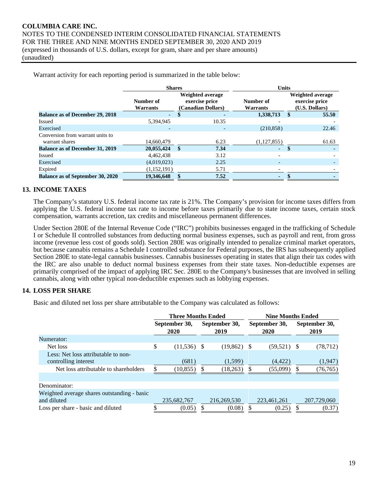Warrant activity for each reporting period is summarized in the table below:

|                                         | <b>Shares</b>         |                                                                 |                          | <b>Units</b>          |    |                                                      |  |  |  |  |
|-----------------------------------------|-----------------------|-----------------------------------------------------------------|--------------------------|-----------------------|----|------------------------------------------------------|--|--|--|--|
|                                         | Number of<br>Warrants | <b>Weighted average</b><br>exercise price<br>(Canadian Dollars) |                          | Number of<br>Warrants |    | Weighted average<br>exercise price<br>(U.S. Dollars) |  |  |  |  |
| <b>Balance as of December 29, 2018</b>  | н.                    | S                                                               | $\blacksquare$           | 1,338,713             | -S | 55.50                                                |  |  |  |  |
| Issued                                  | 5,394,945             |                                                                 | 10.35                    |                       |    |                                                      |  |  |  |  |
| Exercised                               |                       |                                                                 | $\overline{\phantom{a}}$ | (210, 858)            |    | 22.46                                                |  |  |  |  |
| Conversion from warrant units to        |                       |                                                                 |                          |                       |    |                                                      |  |  |  |  |
| warrant shares                          | 14,660,479            |                                                                 | 6.23                     | (1,127,855)           |    | 61.63                                                |  |  |  |  |
| <b>Balance as of December 31, 2019</b>  | 20,055,424            | -\$                                                             | 7.34                     | ٠                     | \$ |                                                      |  |  |  |  |
| Issued                                  | 4.462.438             |                                                                 | 3.12                     |                       |    |                                                      |  |  |  |  |
| Exercised                               | (4,019,023)           |                                                                 | 2.25                     |                       |    |                                                      |  |  |  |  |
| Expired                                 | (1,152,191)           |                                                                 | 5.71                     |                       |    |                                                      |  |  |  |  |
| <b>Balance as of September 30, 2020</b> | 19,346,648            |                                                                 | 7.52                     |                       |    |                                                      |  |  |  |  |

#### **13. INCOME TAXES**

The Company's statutory U.S. federal income tax rate is 21%. The Company's provision for income taxes differs from applying the U.S. federal income tax rate to income before taxes primarily due to state income taxes, certain stock compensation, warrants accretion, tax credits and miscellaneous permanent differences.

Under Section 280E of the Internal Revenue Code ("IRC") prohibits businesses engaged in the trafficking of Schedule I or Schedule II controlled substances from deducting normal business expenses, such as payroll and rent, from gross income (revenue less cost of goods sold). Section 280E was originally intended to penalize criminal market operators, but because cannabis remains a Schedule I controlled substance for Federal purposes, the IRS has subsequently applied Section 280E to state-legal cannabis businesses. Cannabis businesses operating in states that align their tax codes with the IRC are also unable to deduct normal business expenses from their state taxes. Non-deductible expenses are primarily comprised of the impact of applying IRC Sec. 280E to the Company's businesses that are involved in selling cannabis, along with other typical non-deductible expenses such as lobbying expenses.

# **14. LOSS PER SHARE**

Basic and diluted net loss per share attributable to the Company was calculated as follows:

|                                                                                                      | <b>Three Months Ended</b>    |   |                       |    | <b>Nine Months Ended</b> |                       |                      |  |  |
|------------------------------------------------------------------------------------------------------|------------------------------|---|-----------------------|----|--------------------------|-----------------------|----------------------|--|--|
|                                                                                                      | September 30,<br><b>2020</b> |   | September 30,<br>2019 |    | September 30,<br>2020    | September 30,<br>2019 |                      |  |  |
| Numerator:                                                                                           |                              |   |                       |    |                          |                       |                      |  |  |
| Net loss                                                                                             | \$<br>$(11,536)$ \$          |   | $(19,862)$ \$         |    | $(59,521)$ \$            |                       | (78, 712)            |  |  |
| Less: Net loss attributable to non-<br>controlling interest<br>Net loss attributable to shareholders | (681)<br>(10, 855)           | S | (1,599)<br>(18,263)   | -8 | (4, 422)<br>(55,099)     |                       | (1,947)<br>(76, 765) |  |  |
| Denominator:                                                                                         |                              |   |                       |    |                          |                       |                      |  |  |
| Weighted average shares outstanding - basic<br>and diluted                                           | 235,682,767                  |   | 216,269,530           |    | 223,461,261              |                       | 207,729,060          |  |  |
| Loss per share - basic and diluted                                                                   | (0.05)                       |   | (0.08)                |    | (0.25)                   |                       | (0.37)               |  |  |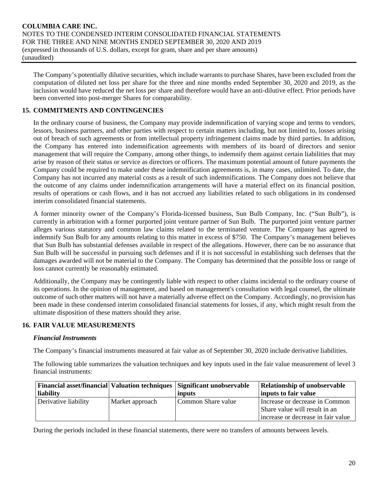The Company's potentially dilutive securities, which include warrants to purchase Shares, have been excluded from the computation of diluted net loss per share for the three and nine months ended September 30, 2020 and 2019, as the inclusion would have reduced the net loss per share and therefore would have an anti-dilutive effect. Prior periods have been converted into post-merger Shares for comparability.

# **15. COMMITMENTS AND CONTINGENCIES**

In the ordinary course of business, the Company may provide indemnification of varying scope and terms to vendors, lessors, business partners, and other parties with respect to certain matters including, but not limited to, losses arising out of breach of such agreements or from intellectual property infringement claims made by third parties. In addition, the Company has entered into indemnification agreements with members of its board of directors and senior management that will require the Company, among other things, to indemnify them against certain liabilities that may arise by reason of their status or service as directors or officers. The maximum potential amount of future payments the Company could be required to make under these indemnification agreements is, in many cases, unlimited. To date, the Company has not incurred any material costs as a result of such indemnifications. The Company does not believe that the outcome of any claims under indemnification arrangements will have a material effect on its financial position, results of operations or cash flows, and it has not accrued any liabilities related to such obligations in its condensed interim consolidated financial statements.

A former minority owner of the Company's Florida-licensed business, Sun Bulb Company, Inc. ("Sun Bulb"), is currently in arbitration with a former purported joint venture partner of Sun Bulb. The purported joint venture partner alleges various statutory and common law claims related to the terminated venture. The Company has agreed to indemnify Sun Bulb for any amounts relating to this matter in excess of \$750. The Company's management believes that Sun Bulb has substantial defenses available in respect of the allegations. However, there can be no assurance that Sun Bulb will be successful in pursuing such defenses and if it is not successful in establishing such defenses that the damages awarded will not be material to the Company. The Company has determined that the possible loss or range of loss cannot currently be reasonably estimated.

Additionally, the Company may be contingently liable with respect to other claims incidental to the ordinary course of its operations. In the opinion of management, and based on management's consultation with legal counsel, the ultimate outcome of such other matters will not have a materially adverse effect on the Company. Accordingly, no provision has been made in these condensed interim consolidated financial statements for losses, if any, which might result from the ultimate disposition of these matters should they arise.

# **16. FAIR VALUE MEASUREMENTS**

#### *Financial Instruments*

The Company's financial instruments measured at fair value as of September 30, 2020 include derivative liabilities.

The following table summarizes the valuation techniques and key inputs used in the fair value measurement of level 3 financial instruments:

|                      |                 | <b>Financial asset/financial Valuation techniques Significant unobservable</b> | <b>Relationship of unobservable</b> |
|----------------------|-----------------|--------------------------------------------------------------------------------|-------------------------------------|
| liability            |                 | inputs                                                                         | inputs to fair value                |
| Derivative liability | Market approach | Common Share value                                                             | Increase or decrease in Common      |
|                      |                 |                                                                                | Share value will result in an       |
|                      |                 |                                                                                | increase or decrease in fair value  |

During the periods included in these financial statements, there were no transfers of amounts between levels.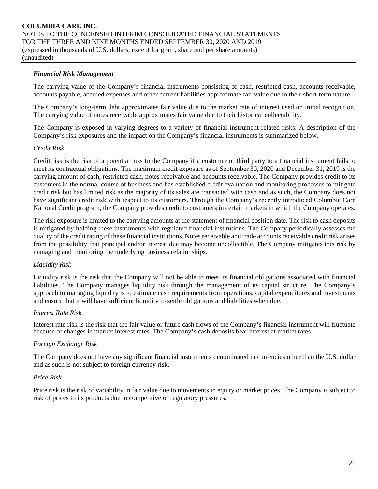#### *Financial Risk Management*

The carrying value of the Company's financial instruments consisting of cash, restricted cash, accounts receivable, accounts payable, accrued expenses and other current liabilities approximate fair value due to their short-term nature.

The Company's long-term debt approximates fair value due to the market rate of interest used on initial recognition. The carrying value of notes receivable approximates fair value due to their historical collectability.

The Company is exposed in varying degrees to a variety of financial instrument related risks. A description of the Company's risk exposures and the impact on the Company's financial instruments is summarized below.

#### *Credit Risk*

Credit risk is the risk of a potential loss to the Company if a customer or third party to a financial instrument fails to meet its contractual obligations. The maximum credit exposure as of September 30, 2020 and December 31, 2019 is the carrying amount of cash, restricted cash, notes receivable and accounts receivable. The Company provides credit to its customers in the normal course of business and has established credit evaluation and monitoring processes to mitigate credit risk but has limited risk as the majority of its sales are transacted with cash and as such, the Company does not have significant credit risk with respect to its customers. Through the Company's recently introduced Columbia Care National Credit program, the Company provides credit to customers in certain markets in which the Company operates.

The risk exposure is limited to the carrying amounts at the statement of financial position date. The risk to cash deposits is mitigated by holding these instruments with regulated financial institutions. The Company periodically assesses the quality of the credit rating of these financial institutions. Notes receivable and trade accounts receivable credit risk arises from the possibility that principal and/or interest due may become uncollectible. The Company mitigates this risk by managing and monitoring the underlying business relationships.

#### *Liquidity Risk*

Liquidity risk is the risk that the Company will not be able to meet its financial obligations associated with financial liabilities. The Company manages liquidity risk through the management of its capital structure. The Company's approach to managing liquidity is to estimate cash requirements from operations, capital expenditures and investments and ensure that it will have sufficient liquidity to settle obligations and liabilities when due.

#### *Interest Rate Risk*

Interest rate risk is the risk that the fair value or future cash flows of the Company's financial instrument will fluctuate because of changes in market interest rates. The Company's cash deposits bear interest at market rates.

#### *Foreign Exchange Risk*

The Company does not have any significant financial instruments denominated in currencies other than the U.S. dollar and as such is not subject to foreign currency risk.

#### *Price Risk*

Price risk is the risk of variability in fair value due to movements in equity or market prices. The Company is subject to risk of prices to its products due to competitive or regulatory pressures.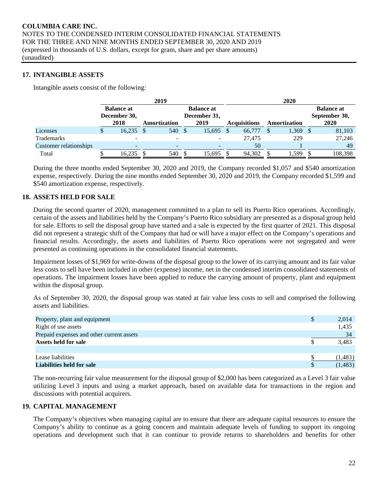#### **17. INTANGIBLE ASSETS**

Intangible assets consist of the following:

|                        |     |                                   |              | 2019                     |  |                                   | 2020 |                     |              |       |  |                                    |  |  |  |  |  |
|------------------------|-----|-----------------------------------|--------------|--------------------------|--|-----------------------------------|------|---------------------|--------------|-------|--|------------------------------------|--|--|--|--|--|
|                        |     | <b>Balance at</b><br>December 30, |              |                          |  | <b>Balance at</b><br>December 31, |      |                     |              |       |  | <b>Balance at</b><br>September 30, |  |  |  |  |  |
|                        |     | 2018                              | Amortization |                          |  | 2019                              |      | <b>Acquisitions</b> | Amortization |       |  | 2020                               |  |  |  |  |  |
| Licenses               | аĐ. | 16.235                            |              | 540                      |  | 15,695                            |      | 66,777              |              | 1,369 |  | 81,103                             |  |  |  |  |  |
| Trademarks             |     |                                   |              |                          |  |                                   |      | 27,475              |              | 229   |  | 27,246                             |  |  |  |  |  |
| Customer relationships |     | -                                 |              | $\overline{\phantom{0}}$ |  |                                   |      | 50                  |              |       |  | 49                                 |  |  |  |  |  |
| Total                  |     | 16,235                            |              | 540                      |  | 15,695                            |      | 94,302              |              | 1,599 |  | 108,398                            |  |  |  |  |  |

During the three months ended September 30, 2020 and 2019, the Company recorded \$1,057 and \$540 amortization expense, respectively. During the nine months ended September 30, 2020 and 2019, the Company recorded \$1,599 and \$540 amortization expense, respectively.

#### **18. ASSETS HELD FOR SALE**

During the second quarter of 2020, management committed to a plan to sell its Puerto Rico operations. Accordingly, certain of the assets and liabilities held by the Company's Puerto Rico subsidiary are presented as a disposal group held for sale. Efforts to sell the disposal group have started and a sale is expected by the first quarter of 2021. This disposal did not represent a strategic shift of the Company that had or will have a major effect on the Company's operations and financial results. Accordingly, the assets and liabilities of Puerto Rico operations were not segregated and were presented as continuing operations in the consolidated financial statements.

Impairment losses of \$1,969 for write-downs of the disposal group to the lower of its carrying amount and its fair value less costs to sell have been included in other (expense) income, net in the condensed interim consolidated statements of operations. The impairment losses have been applied to reduce the carrying amount of property, plant and equipment within the disposal group.

As of September 30, 2020, the disposal group was stated at fair value less costs to sell and comprised the following assets and liabilities.

| Property, plant and equipment             | <sup>\$</sup> | 2,014    |
|-------------------------------------------|---------------|----------|
| Right of use assets                       |               | 1,435    |
| Prepaid expenses and other current assets |               | 34       |
| Assets held for sale                      |               | 3,483    |
|                                           |               |          |
| Lease liabilities                         |               | (1, 483) |
| <b>Liabilities held for sale</b>          | \$.           | (1, 483) |

The non-recurring fair value measurement for the disposal group of \$2,000 has been categorized as a Level 3 fair value utilizing Level 3 inputs and using a market approach, based on available data for transactions in the region and discussions with potential acquirers.

#### **19. CAPITAL MANAGEMENT**

The Company's objectives when managing capital are to ensure that there are adequate capital resources to ensure the Company's ability to continue as a going concern and maintain adequate levels of funding to support its ongoing operations and development such that it can continue to provide returns to shareholders and benefits for other